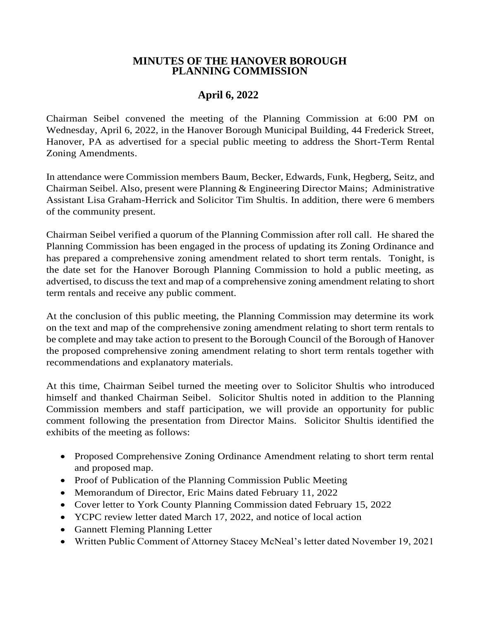## **MINUTES OF THE HANOVER BOROUGH PLANNING COMMISSION**

## **April 6, 2022**

Chairman Seibel convened the meeting of the Planning Commission at 6:00 PM on Wednesday, April 6, 2022, in the Hanover Borough Municipal Building, 44 Frederick Street, Hanover, PA as advertised for a special public meeting to address the Short-Term Rental Zoning Amendments.

In attendance were Commission members Baum, Becker, Edwards, Funk, Hegberg, Seitz, and Chairman Seibel. Also, present were Planning & Engineering Director Mains; Administrative Assistant Lisa Graham-Herrick and Solicitor Tim Shultis. In addition, there were 6 members of the community present.

Chairman Seibel verified a quorum of the Planning Commission after roll call. He shared the Planning Commission has been engaged in the process of updating its Zoning Ordinance and has prepared a comprehensive zoning amendment related to short term rentals. Tonight, is the date set for the Hanover Borough Planning Commission to hold a public meeting, as advertised, to discuss the text and map of a comprehensive zoning amendment relating to short term rentals and receive any public comment.

At the conclusion of this public meeting, the Planning Commission may determine its work on the text and map of the comprehensive zoning amendment relating to short term rentals to be complete and may take action to present to the Borough Council of the Borough of Hanover the proposed comprehensive zoning amendment relating to short term rentals together with recommendations and explanatory materials.

At this time, Chairman Seibel turned the meeting over to Solicitor Shultis who introduced himself and thanked Chairman Seibel. Solicitor Shultis noted in addition to the Planning Commission members and staff participation, we will provide an opportunity for public comment following the presentation from Director Mains. Solicitor Shultis identified the exhibits of the meeting as follows:

- Proposed Comprehensive Zoning Ordinance Amendment relating to short term rental and proposed map.
- Proof of Publication of the Planning Commission Public Meeting
- Memorandum of Director, Eric Mains dated February 11, 2022
- Cover letter to York County Planning Commission dated February 15, 2022
- YCPC review letter dated March 17, 2022, and notice of local action
- Gannett Fleming Planning Letter
- Written Public Comment of Attorney Stacey McNeal's letter dated November 19, 2021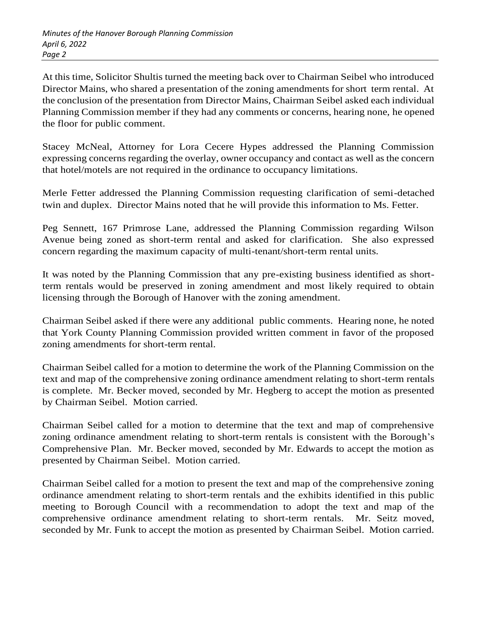At this time, Solicitor Shultis turned the meeting back over to Chairman Seibel who introduced Director Mains, who shared a presentation of the zoning amendments for short term rental. At the conclusion of the presentation from Director Mains, Chairman Seibel asked each individual Planning Commission member if they had any comments or concerns, hearing none, he opened the floor for public comment.

Stacey McNeal, Attorney for Lora Cecere Hypes addressed the Planning Commission expressing concerns regarding the overlay, owner occupancy and contact as well as the concern that hotel/motels are not required in the ordinance to occupancy limitations.

Merle Fetter addressed the Planning Commission requesting clarification of semi-detached twin and duplex. Director Mains noted that he will provide this information to Ms. Fetter.

Peg Sennett, 167 Primrose Lane, addressed the Planning Commission regarding Wilson Avenue being zoned as short-term rental and asked for clarification. She also expressed concern regarding the maximum capacity of multi-tenant/short-term rental units.

It was noted by the Planning Commission that any pre-existing business identified as shortterm rentals would be preserved in zoning amendment and most likely required to obtain licensing through the Borough of Hanover with the zoning amendment.

Chairman Seibel asked if there were any additional public comments. Hearing none, he noted that York County Planning Commission provided written comment in favor of the proposed zoning amendments for short-term rental.

Chairman Seibel called for a motion to determine the work of the Planning Commission on the text and map of the comprehensive zoning ordinance amendment relating to short-term rentals is complete. Mr. Becker moved, seconded by Mr. Hegberg to accept the motion as presented by Chairman Seibel. Motion carried.

Chairman Seibel called for a motion to determine that the text and map of comprehensive zoning ordinance amendment relating to short-term rentals is consistent with the Borough's Comprehensive Plan. Mr. Becker moved, seconded by Mr. Edwards to accept the motion as presented by Chairman Seibel. Motion carried.

Chairman Seibel called for a motion to present the text and map of the comprehensive zoning ordinance amendment relating to short-term rentals and the exhibits identified in this public meeting to Borough Council with a recommendation to adopt the text and map of the comprehensive ordinance amendment relating to short-term rentals. Mr. Seitz moved, seconded by Mr. Funk to accept the motion as presented by Chairman Seibel. Motion carried.